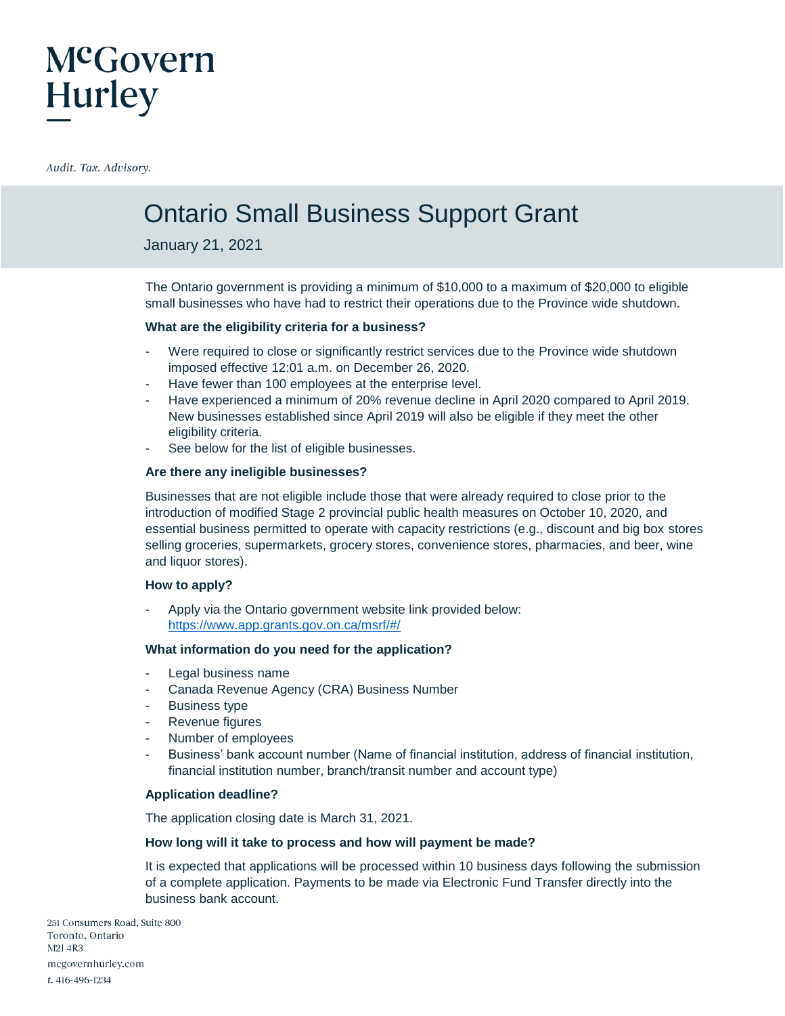### McGovern **Hurley**

Audit. Tax. Advisory.

### Ontario Small Business Support Grant

January 21, 2021

The Ontario government is providing a minimum of \$10,000 to a maximum of \$20,000 to eligible small businesses who have had to restrict their operations due to the Province wide shutdown.

### **What are the eligibility criteria for a business?**

- Were required to close or significantly restrict services due to the Province wide shutdown imposed effective 12:01 a.m. on December 26, 2020.
- Have fewer than 100 employees at the enterprise level.
- Have experienced a minimum of 20% revenue decline in April 2020 compared to April 2019. New businesses established since April 2019 will also be eligible if they meet the other eligibility criteria.
- See below for the list of eligible businesses.

### **Are there any ineligible businesses?**

Businesses that are not eligible include those that were already required to close prior to the introduction of modified Stage 2 provincial public health measures on October 10, 2020, and essential business permitted to operate with capacity restrictions (e.g., discount and big box stores selling groceries, supermarkets, grocery stores, convenience stores, pharmacies, and beer, wine and liquor stores).

### **How to apply?**

Apply via the Ontario government website link provided below: <https://www.app.grants.gov.on.ca/msrf/#/>

### **What information do you need for the application?**

- Legal business name
- Canada Revenue Agency (CRA) Business Number
- Business type
- Revenue figures
- Number of employees
- Business' bank account number (Name of financial institution, address of financial institution, financial institution number, branch/transit number and account type)

### **Application deadline?**

The application closing date is March 31, 2021.

### **How long will it take to process and how will payment be made?**

It is expected that applications will be processed within 10 business days following the submission of a complete application. Payments to be made via Electronic Fund Transfer directly into the business bank account.

251 Consumers Road, Suite 800 Toronto, Ontario M2J 4R3 mcgovernhurley.com t. 416-496-1234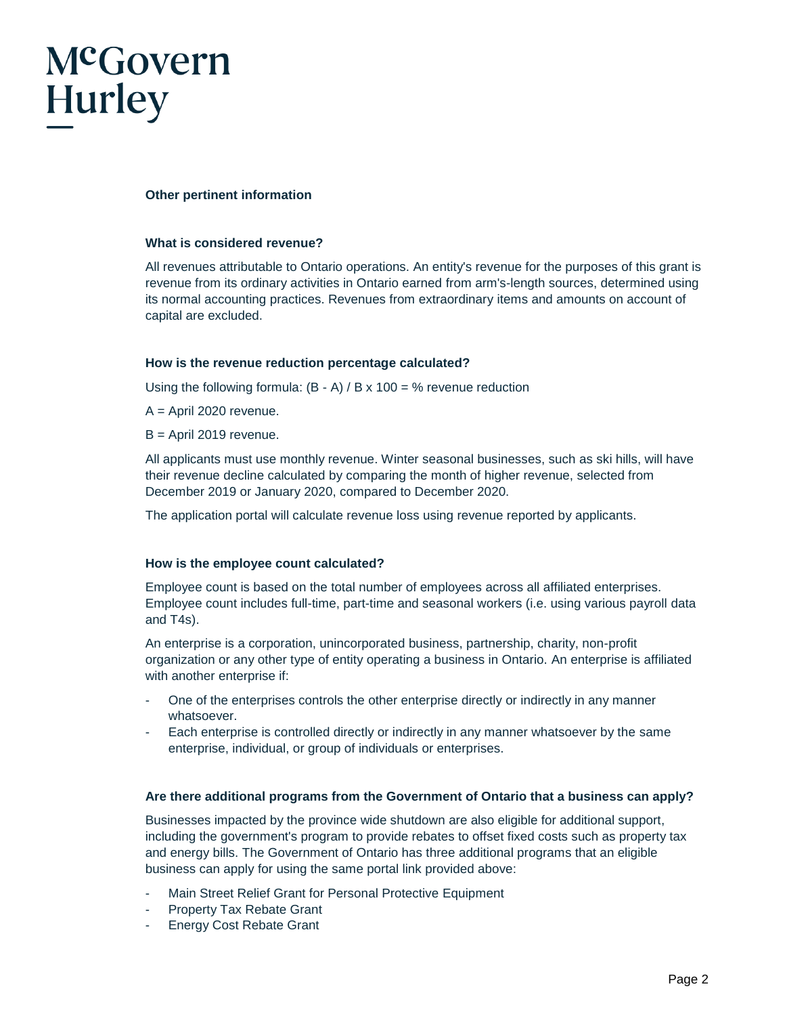# McGovern Hurley

### **Other pertinent information**

#### **What is considered revenue?**

All revenues attributable to Ontario operations. An entity's revenue for the purposes of this grant is revenue from its ordinary activities in Ontario earned from arm's-length sources, determined using its normal accounting practices. Revenues from extraordinary items and amounts on account of capital are excluded.

### **How is the revenue reduction percentage calculated?**

Using the following formula:  $(B - A) / B \times 100 = %$  revenue reduction

- $A =$  April 2020 revenue.
- B = April 2019 revenue.

All applicants must use monthly revenue. Winter seasonal businesses, such as ski hills, will have their revenue decline calculated by comparing the month of higher revenue, selected from December 2019 or January 2020, compared to December 2020.

The application portal will calculate revenue loss using revenue reported by applicants.

#### **How is the employee count calculated?**

Employee count is based on the total number of employees across all affiliated enterprises. Employee count includes full-time, part-time and seasonal workers (i.e. using various payroll data and T4s).

An enterprise is a corporation, unincorporated business, partnership, charity, non-profit organization or any other type of entity operating a business in Ontario. An enterprise is affiliated with another enterprise if:

- One of the enterprises controls the other enterprise directly or indirectly in any manner whatsoever.
- Each enterprise is controlled directly or indirectly in any manner whatsoever by the same enterprise, individual, or group of individuals or enterprises.

### **Are there additional programs from the Government of Ontario that a business can apply?**

Businesses impacted by the province wide shutdown are also eligible for additional support, including the government's program to provide rebates to offset fixed costs such as property tax and energy bills. The Government of Ontario has three additional programs that an eligible business can apply for using the same portal link provided above:

- Main Street Relief Grant for Personal Protective Equipment
- Property Tax Rebate Grant
- Energy Cost Rebate Grant